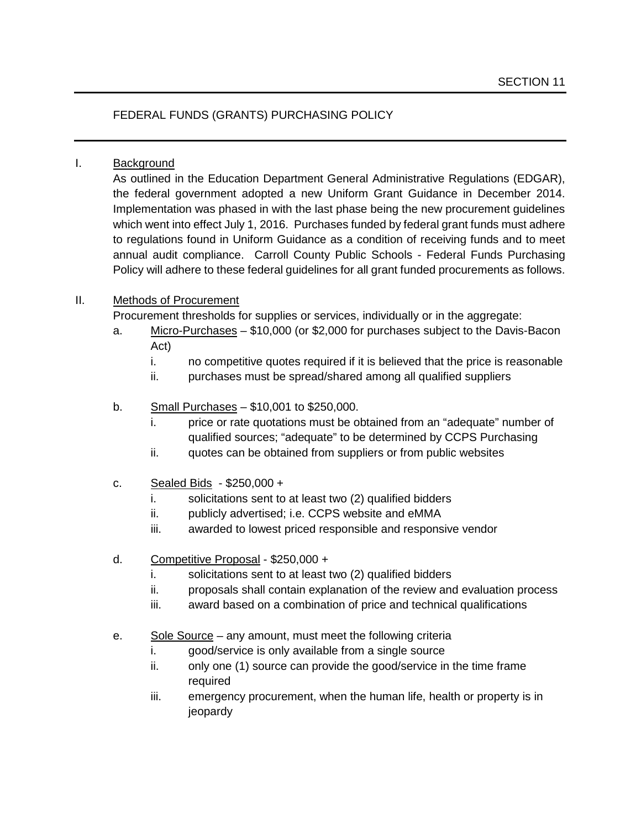## FEDERAL FUNDS (GRANTS) PURCHASING POLICY

## I. Background

As outlined in the Education Department General Administrative Regulations (EDGAR), the federal government adopted a new Uniform Grant Guidance in December 2014. Implementation was phased in with the last phase being the new procurement guidelines which went into effect July 1, 2016. Purchases funded by federal grant funds must adhere to regulations found in Uniform Guidance as a condition of receiving funds and to meet annual audit compliance. Carroll County Public Schools - Federal Funds Purchasing Policy will adhere to these federal guidelines for all grant funded procurements as follows.

## II. Methods of Procurement

Procurement thresholds for supplies or services, individually or in the aggregate:

- a. Micro-Purchases \$10,000 (or \$2,000 for purchases subject to the Davis-Bacon Act)
	- i. no competitive quotes required if it is believed that the price is reasonable
	- ii. purchases must be spread/shared among all qualified suppliers
- b. Small Purchases \$10,001 to \$250,000.
	- i. price or rate quotations must be obtained from an "adequate" number of qualified sources; "adequate" to be determined by CCPS Purchasing
	- ii. quotes can be obtained from suppliers or from public websites
- c. Sealed Bids \$250,000 +
	- i. solicitations sent to at least two (2) qualified bidders
	- ii. publicly advertised; i.e. CCPS website and eMMA
	- iii. awarded to lowest priced responsible and responsive vendor
- d. Competitive Proposal \$250,000 +
	- i. solicitations sent to at least two (2) qualified bidders
	- ii. proposals shall contain explanation of the review and evaluation process
	- iii. award based on a combination of price and technical qualifications
- e. Sole Source any amount, must meet the following criteria
	- i. good/service is only available from a single source
	- ii. only one (1) source can provide the good/service in the time frame required
	- iii. emergency procurement, when the human life, health or property is in jeopardy